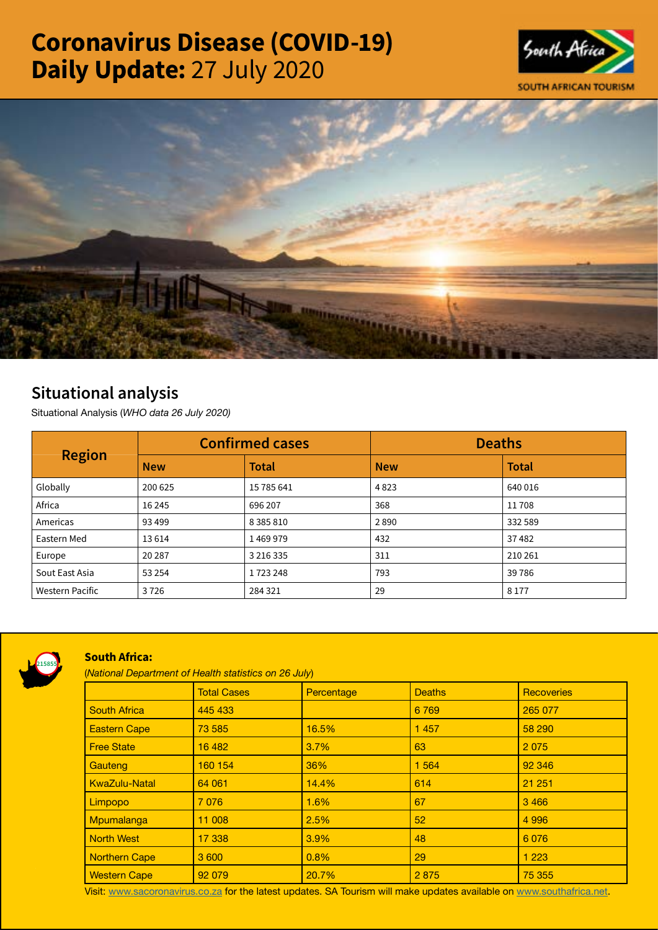# Coronavirus Disease (COVID-19) Daily Update: 27 July 2020





## Situational analysis

Situational Analysis (*WHO data 26 July 2020)*

| <b>Region</b>   | <b>Confirmed cases</b> |               | <b>Deaths</b> |              |
|-----------------|------------------------|---------------|---------------|--------------|
|                 | <b>New</b>             | <b>Total</b>  | <b>New</b>    | <b>Total</b> |
| Globally        | 200 625                | 15 785 641    | 4823          | 640 016      |
| Africa          | 16 2 45                | 696 207       | 368           | 11708        |
| Americas        | 93 4 99                | 8 3 8 5 8 1 0 | 2890          | 332 589      |
| Eastern Med     | 13614                  | 1469979       | 432           | 37482        |
| Europe          | 20 28 7                | 3 2 1 6 3 3 5 | 311           | 210 261      |
| Sout East Asia  | 53 2 54                | 1723248       | 793           | 39786        |
| Western Pacific | 3726                   | 284 321       | 29            | 8 1 7 7      |



### South Africa:

(*National Department of Health statistics on 26 July*)

|                      | <b>Total Cases</b> | Percentage | <b>Deaths</b>   | <b>Recoveries</b> |
|----------------------|--------------------|------------|-----------------|-------------------|
| <b>South Africa</b>  | 445 433            |            | 6769            | 265 077           |
| <b>Eastern Cape</b>  | 73 585             | 16.5%      | 1 4 5 7         | 58 290            |
| <b>Free State</b>    | 16 482             | 3.7%       | 63              | 2075              |
| Gauteng              | 160 154            | 36%        | 1 5 6 4         | 92 346            |
| <b>KwaZulu-Natal</b> | 64 061             | 14.4%      | 614             | 21 251            |
| Limpopo              | 7076               | 1.6%       | 67              | 3 4 6 6           |
| Mpumalanga           | 11 008             | 2.5%       | 52 <sub>2</sub> | 4 9 9 6           |
| <b>North West</b>    | 17 338             | 3.9%       | 48              | 6076              |
| <b>Northern Cape</b> | 3 600              | 0.8%       | 29              | 1 2 2 3           |
| <b>Western Cape</b>  | 92 079             | 20.7%      | 2875            | 75 355            |

Visit: [www.sacoronavirus.co.za](http://www.sacoronavirus.co.za) for the latest updates. SA Tourism will make updates available on [www.southafrica.net.](http://www.southafrica.net)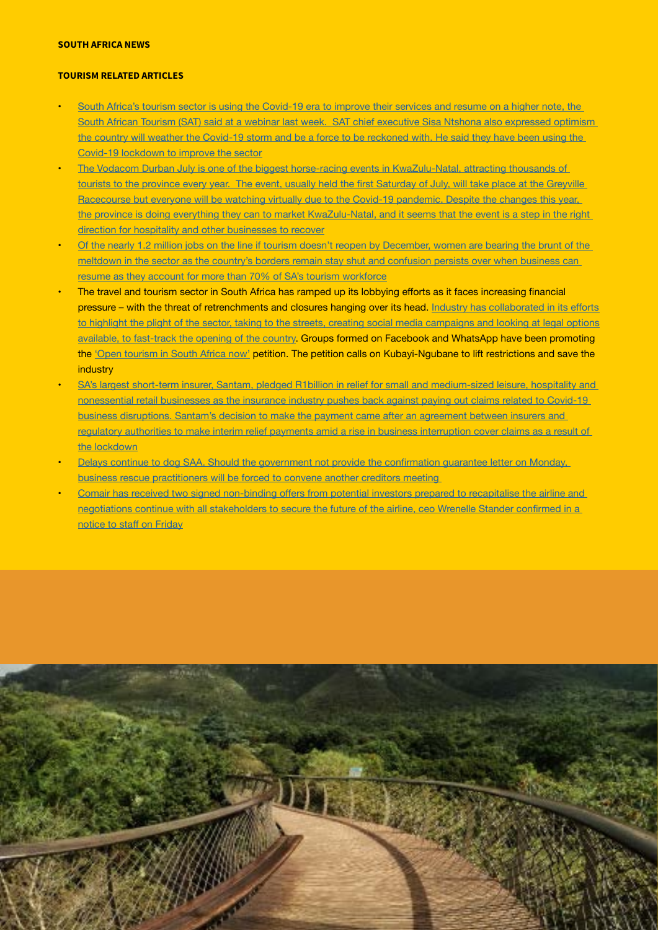#### SOUTH AFRICA NEWS

#### TOURISM RELATED ARTICLES

- South Africa's tourism sector is using the Covid-19 era to improve their services and resume on a higher note, the [South African Tourism \(SAT\) said at a webinar last week. SAT chief executive Sisa Ntshona also expressed optimism](https://www.iol.co.za/travel/south-africa/south-africas-tourism-sector-optimistic-about-revival-e61ad47d-acdb-4742-99bc-2c2cb8566562)  [the country will weather the Covid-19 storm and be a force to be reckoned with. He said they have been using the](https://www.iol.co.za/travel/south-africa/south-africas-tourism-sector-optimistic-about-revival-e61ad47d-acdb-4742-99bc-2c2cb8566562)  [Covid-19 lockdown to improve the sector](https://www.iol.co.za/travel/south-africa/south-africas-tourism-sector-optimistic-about-revival-e61ad47d-acdb-4742-99bc-2c2cb8566562)
- The Vodacom Durban July is one of the biggest horse-racing events in KwaZulu-Natal, attracting thousands of tourists to the province every [year. The](https://www.iol.co.za/travel/south-africa/kwazulu-natal/how-the-virtual-vdj-hopes-to-revive-kzn-tourism-73ffb7b4-035e-4ee1-9258-561b871d47a5) event, usually held the first Saturday of July, will take place at the Greyville [Racecourse but everyone will be watching virtually due to the Covid-19 pandemic. Despite the changes this year,](https://www.iol.co.za/travel/south-africa/kwazulu-natal/how-the-virtual-vdj-hopes-to-revive-kzn-tourism-73ffb7b4-035e-4ee1-9258-561b871d47a5)  [the province is doing everything they can to market KwaZulu-Natal, and it seems that the event is a step in the right](https://www.iol.co.za/travel/south-africa/kwazulu-natal/how-the-virtual-vdj-hopes-to-revive-kzn-tourism-73ffb7b4-035e-4ee1-9258-561b871d47a5)  [direction for hospitality and other businesses to recover](https://www.iol.co.za/travel/south-africa/kwazulu-natal/how-the-virtual-vdj-hopes-to-revive-kzn-tourism-73ffb7b4-035e-4ee1-9258-561b871d47a5)
- Of the nearly 1.2 million jobs on the line if tourism doesn't reopen by December, women are bearing the brunt of the [meltdown in the sector as the country's borders remain stay shut and confusion persists over when business can](https://select.timeslive.co.za/news/2020-07-24-we-are-not-coping-women-bear-the-brunt-of-sa-tourism-cataclysm/)  [resume as they account for more than 70% of SA's tourism workforce](https://select.timeslive.co.za/news/2020-07-24-we-are-not-coping-women-bear-the-brunt-of-sa-tourism-cataclysm/)
- The travel and tourism sector in South Africa has ramped up its lobbying efforts as it faces increasing financial pressure – with the threat of retrenchments and closures hanging over its head. Industry has [collaborated](https://www.tourismupdate.co.za/article/petitions-protests-and-lawyers-oh-my) in its efforts [to highlight the plight of the sector, taking to the streets, creating social media campaigns and looking at legal options](https://www.tourismupdate.co.za/article/petitions-protests-and-lawyers-oh-my)  [available, to fast-track the opening of the country](https://www.tourismupdate.co.za/article/petitions-protests-and-lawyers-oh-my). Groups formed on Facebook and WhatsApp have been promoting the ['Open tourism in South Africa now'](https://www.change.org/p/minister-mmamoloko-kubayi-ngubane-open-tourism-in-south-africa-now?utm_source=share_petition&utm_medium=custom_url&recruited_by_id=4c8ac750-c5b4-11ea-92e0-1ba105c05c1c) petition. The petition calls on Kubayi-Ngubane to lift restrictions and save the industry
- SA's largest short-term insurer, Santam, pledged R1billion in relief for small and medium-sized leisure, hospitality and [nonessential retail businesses as the insurance industry pushes back against paying out claims related to Covid-19](https://www.businesslive.co.za/bd/companies/financial-services/2020-07-26-santam-to-pay-r1bn-to-clients-hardest-hit-by-lockdown/)  [business disruptions. Santam's decision to make the payment came after an agreement between insurers and](https://www.businesslive.co.za/bd/companies/financial-services/2020-07-26-santam-to-pay-r1bn-to-clients-hardest-hit-by-lockdown/)  [regulatory authorities to make interim relief payments amid a rise in business interruption cover claims as a result of](https://www.businesslive.co.za/bd/companies/financial-services/2020-07-26-santam-to-pay-r1bn-to-clients-hardest-hit-by-lockdown/)  [the lockdown](https://www.businesslive.co.za/bd/companies/financial-services/2020-07-26-santam-to-pay-r1bn-to-clients-hardest-hit-by-lockdown/)
- Delays continue to dog SAA. Should the government not provide the [confirmation](https://www.businesslive.co.za/bt/business-and-economy/2020-07-26-delays-continue-to-dog-saa/) guarantee letter on Monday, [business rescue practitioners will be forced to convene another creditors meeting](https://www.businesslive.co.za/bt/business-and-economy/2020-07-26-delays-continue-to-dog-saa/)
- Comair has received two signed [non-binding](https://www.travelnews.co.za/article/comair-confirms-it-has-potential-investors) offers from potential investors prepared to recapitalise the airline and negotiations continue with all [stakeholders](https://www.travelnews.co.za/article/comair-confirms-it-has-potential-investors) to secure the future of the airline, ceo Wrenelle Stander confirmed in a [notice](https://www.travelnews.co.za/article/comair-confirms-it-has-potential-investors) to staff on Friday